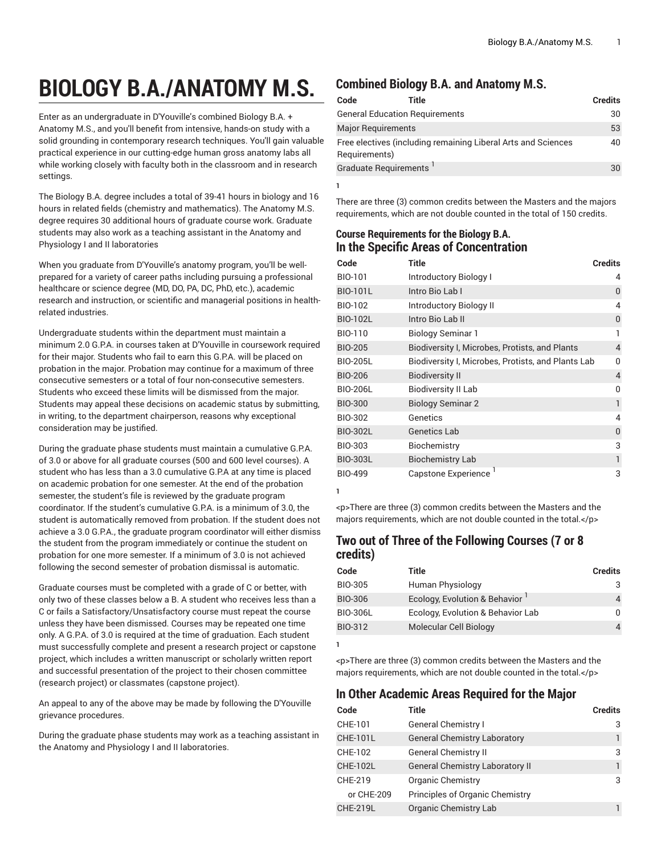# **BIOLOGY B.A./ANATOMY M.S.**

Enter as an undergraduate in D'Youville's combined Biology B.A. + Anatomy M.S., and you'll benefit from intensive, hands-on study with a solid grounding in contemporary research techniques. You'll gain valuable practical experience in our cutting-edge human gross anatomy labs all while working closely with faculty both in the classroom and in research settings.

The Biology B.A. degree includes a total of 39-41 hours in biology and 16 hours in related fields (chemistry and mathematics). The Anatomy M.S. degree requires 30 additional hours of graduate course work. Graduate students may also work as a teaching assistant in the Anatomy and Physiology I and II laboratories

When you graduate from D'Youville's anatomy program, you'll be wellprepared for a variety of career paths including pursuing a professional healthcare or science degree (MD, DO, PA, DC, PhD, etc.), academic research and instruction, or scientific and managerial positions in healthrelated industries.

Undergraduate students within the department must maintain a minimum 2.0 G.P.A. in courses taken at D'Youville in coursework required for their major. Students who fail to earn this G.P.A. will be placed on probation in the major. Probation may continue for a maximum of three consecutive semesters or a total of four non-consecutive semesters. Students who exceed these limits will be dismissed from the major. Students may appeal these decisions on academic status by submitting, in writing, to the department chairperson, reasons why exceptional consideration may be justified.

During the graduate phase students must maintain a cumulative G.P.A. of 3.0 or above for all graduate courses (500 and 600 level courses). A student who has less than a 3.0 cumulative G.P.A at any time is placed on academic probation for one semester. At the end of the probation semester, the student's file is reviewed by the graduate program coordinator. If the student's cumulative G.P.A. is a minimum of 3.0, the student is automatically removed from probation. If the student does not achieve a 3.0 G.P.A., the graduate program coordinator will either dismiss the student from the program immediately or continue the student on probation for one more semester. If a minimum of 3.0 is not achieved following the second semester of probation dismissal is automatic.

Graduate courses must be completed with a grade of C or better, with only two of these classes below a B. A student who receives less than a C or fails a Satisfactory/Unsatisfactory course must repeat the course unless they have been dismissed. Courses may be repeated one time only. A G.P.A. of 3.0 is required at the time of graduation. Each student must successfully complete and present a research project or capstone project, which includes a written manuscript or scholarly written report and successful presentation of the project to their chosen committee (research project) or classmates (capstone project).

An appeal to any of the above may be made by following the D'Youville grievance procedures.

During the graduate phase students may work as a teaching assistant in the Anatomy and Physiology I and II laboratories.

#### **Combined Biology B.A. and Anatomy M.S.**

| Code                                  | Title                                                         | <b>Credits</b> |
|---------------------------------------|---------------------------------------------------------------|----------------|
| <b>General Education Requirements</b> |                                                               | 30             |
| <b>Major Requirements</b>             |                                                               | 53             |
| Requirements)                         | Free electives (including remaining Liberal Arts and Sciences | 40             |
| Graduate Requirements <sup>1</sup>    |                                                               | 30             |

There are three (3) common credits between the Masters and the majors requirements, which are not double counted in the total of 150 credits.

#### **Course Requirements for the Biology B.A. In the Specific Areas of Concentration**

| Code            | <b>Title</b>                                       | <b>Credits</b> |
|-----------------|----------------------------------------------------|----------------|
| BIO-101         | Introductory Biology I                             | 4              |
| <b>BIO-101L</b> | Intro Bio Lab I                                    | 0              |
| BIO-102         | Introductory Biology II                            | 4              |
| <b>BIO-102L</b> | Intro Bio Lab II                                   | 0              |
| BIO-110         | Biology Seminar 1                                  | 1              |
| <b>BIO-205</b>  | Biodiversity I, Microbes, Protists, and Plants     | 4              |
| <b>BIO-205L</b> | Biodiversity I, Microbes, Protists, and Plants Lab | 0              |
| <b>BIO-206</b>  | <b>Biodiversity II</b>                             | 4              |
| <b>BIO-206L</b> | <b>Biodiversity II Lab</b>                         | O              |
| <b>BIO-300</b>  | <b>Biology Seminar 2</b>                           | 1              |
| BIO-302         | Genetics                                           | 4              |
| <b>BIO-302L</b> | Genetics Lab                                       | 0              |
| BIO-303         | Biochemistry                                       | 3              |
| <b>BIO-303L</b> | <b>Biochemistry Lab</b>                            | 1              |
| <b>BIO-499</b>  | Capstone Experience                                | 3              |

**1**

**1**

**1**

<p>There are three (3) common credits between the Masters and the majors requirements, which are not double counted in the total.</p>

#### **Two out of Three of the Following Courses (7 or 8 credits)**

| Code            | Title                             | <b>Credits</b> |
|-----------------|-----------------------------------|----------------|
| BIO-305         | Human Physiology                  |                |
| <b>BIO-306</b>  | Ecology, Evolution & Behavior     |                |
| <b>BIO-306L</b> | Ecology, Evolution & Behavior Lab |                |
| BIO-312         | Molecular Cell Biology            |                |

<p>There are three (3) common credits between the Masters and the majors requirements, which are not double counted in the total.</p>

### **In Other Academic Areas Required for the Major**

| Code            | <b>Title</b>                           | <b>Credits</b> |
|-----------------|----------------------------------------|----------------|
| CHE-101         | <b>General Chemistry I</b>             | 3              |
| <b>CHE-101L</b> | <b>General Chemistry Laboratory</b>    |                |
| CHE-102         | <b>General Chemistry II</b>            | 3              |
| <b>CHE-102L</b> | <b>General Chemistry Laboratory II</b> |                |
| CHE-219         | <b>Organic Chemistry</b>               | 3              |
| or CHE-209      | Principles of Organic Chemistry        |                |
| <b>CHE-219L</b> | Organic Chemistry Lab                  |                |